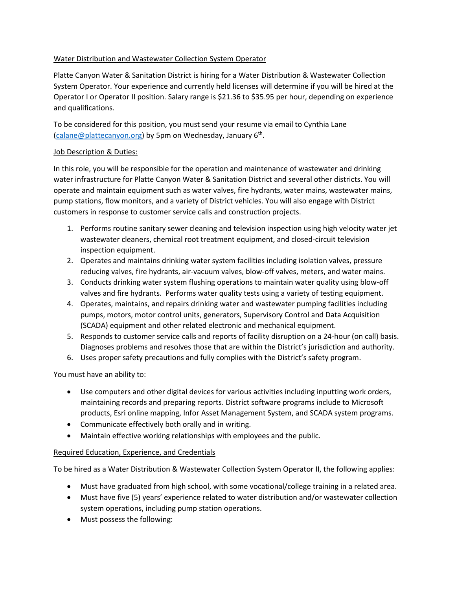## Water Distribution and Wastewater Collection System Operator

Platte Canyon Water & Sanitation District is hiring for a Water Distribution & Wastewater Collection System Operator. Your experience and currently held licenses will determine if you will be hired at the Operator I or Operator II position. Salary range is \$21.36 to \$35.95 per hour, depending on experience and qualifications.

To be considered for this position, you must send your resume via email to Cynthia Lane [\(calane@plattecanyon.org\)](mailto:calane@plattecanyon.org) by 5pm on Wednesday, January 6th.

## Job Description & Duties:

In this role, you will be responsible for the operation and maintenance of wastewater and drinking water infrastructure for Platte Canyon Water & Sanitation District and several other districts. You will operate and maintain equipment such as water valves, fire hydrants, water mains, wastewater mains, pump stations, flow monitors, and a variety of District vehicles. You will also engage with District customers in response to customer service calls and construction projects.

- 1. Performs routine sanitary sewer cleaning and television inspection using high velocity water jet wastewater cleaners, chemical root treatment equipment, and closed-circuit television inspection equipment.
- 2. Operates and maintains drinking water system facilities including isolation valves, pressure reducing valves, fire hydrants, air-vacuum valves, blow-off valves, meters, and water mains.
- 3. Conducts drinking water system flushing operations to maintain water quality using blow-off valves and fire hydrants. Performs water quality tests using a variety of testing equipment.
- 4. Operates, maintains, and repairs drinking water and wastewater pumping facilities including pumps, motors, motor control units, generators, Supervisory Control and Data Acquisition (SCADA) equipment and other related electronic and mechanical equipment.
- 5. Responds to customer service calls and reports of facility disruption on a 24-hour (on call) basis. Diagnoses problems and resolves those that are within the District's jurisdiction and authority.
- 6. Uses proper safety precautions and fully complies with the District's safety program.

You must have an ability to:

- Use computers and other digital devices for various activities including inputting work orders, maintaining records and preparing reports. District software programs include to Microsoft products, Esri online mapping, Infor Asset Management System, and SCADA system programs.
- Communicate effectively both orally and in writing.
- Maintain effective working relationships with employees and the public.

## Required Education, Experience, and Credentials

To be hired as a Water Distribution & Wastewater Collection System Operator II, the following applies:

- Must have graduated from high school, with some vocational/college training in a related area.
- Must have five (5) years' experience related to water distribution and/or wastewater collection system operations, including pump station operations.
- Must possess the following: